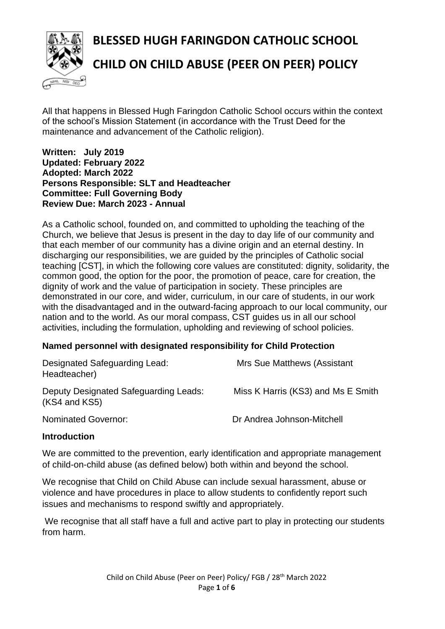**BLESSED HUGH FARINGDON CATHOLIC SCHOOL**



# **CHILD ON CHILD ABUSE (PEER ON PEER) POLICY**

All that happens in Blessed Hugh Faringdon Catholic School occurs within the context of the school's Mission Statement (in accordance with the Trust Deed for the maintenance and advancement of the Catholic religion).

#### **Written: July 2019 Updated: February 2022 Adopted: March 2022 Persons Responsible: SLT and Headteacher Committee: Full Governing Body Review Due: March 2023 - Annual**

As a Catholic school, founded on, and committed to upholding the teaching of the Church, we believe that Jesus is present in the day to day life of our community and that each member of our community has a divine origin and an eternal destiny. In discharging our responsibilities, we are guided by the principles of Catholic social teaching [CST], in which the following core values are constituted: dignity, solidarity, the common good, the option for the poor, the promotion of peace, care for creation, the dignity of work and the value of participation in society. These principles are demonstrated in our core, and wider, curriculum, in our care of students, in our work with the disadvantaged and in the outward-facing approach to our local community, our nation and to the world. As our moral compass, CST guides us in all our school activities, including the formulation, upholding and reviewing of school policies.

### **Named personnel with designated responsibility for Child Protection**

| Designated Safeguarding Lead:<br>Headteacher)          | <b>Mrs Sue Matthews (Assistant</b> |
|--------------------------------------------------------|------------------------------------|
| Deputy Designated Safeguarding Leads:<br>(KS4 and KS5) | Miss K Harris (KS3) and Ms E Smith |
| <b>Nominated Governor:</b>                             | Dr Andrea Johnson-Mitchell         |

#### **Introduction**

We are committed to the prevention, early identification and appropriate management of child-on-child abuse (as defined below) both within and beyond the school.

We recognise that Child on Child Abuse can include sexual harassment, abuse or violence and have procedures in place to allow students to confidently report such issues and mechanisms to respond swiftly and appropriately.

We recognise that all staff have a full and active part to play in protecting our students from harm.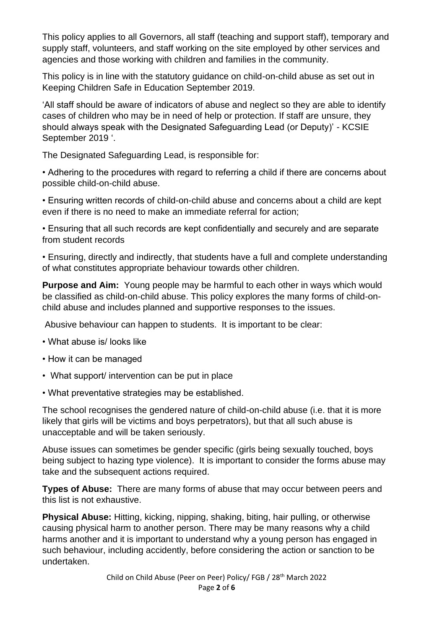This policy applies to all Governors, all staff (teaching and support staff), temporary and supply staff, volunteers, and staff working on the site employed by other services and agencies and those working with children and families in the community.

This policy is in line with the statutory guidance on child-on-child abuse as set out in Keeping Children Safe in Education September 2019.

'All staff should be aware of indicators of abuse and neglect so they are able to identify cases of children who may be in need of help or protection. If staff are unsure, they should always speak with the Designated Safeguarding Lead (or Deputy)' - KCSIE September 2019 '.

The Designated Safeguarding Lead, is responsible for:

• Adhering to the procedures with regard to referring a child if there are concerns about possible child-on-child abuse.

• Ensuring written records of child-on-child abuse and concerns about a child are kept even if there is no need to make an immediate referral for action;

• Ensuring that all such records are kept confidentially and securely and are separate from student records

• Ensuring, directly and indirectly, that students have a full and complete understanding of what constitutes appropriate behaviour towards other children.

**Purpose and Aim:** Young people may be harmful to each other in ways which would be classified as child-on-child abuse. This policy explores the many forms of child-onchild abuse and includes planned and supportive responses to the issues.

Abusive behaviour can happen to students. It is important to be clear:

- What abuse is/ looks like
- How it can be managed
- What support/ intervention can be put in place
- What preventative strategies may be established.

The school recognises the gendered nature of child-on-child abuse (i.e. that it is more likely that girls will be victims and boys perpetrators), but that all such abuse is unacceptable and will be taken seriously.

Abuse issues can sometimes be gender specific (girls being sexually touched, boys being subject to hazing type violence). It is important to consider the forms abuse may take and the subsequent actions required.

**Types of Abuse:** There are many forms of abuse that may occur between peers and this list is not exhaustive.

**Physical Abuse:** Hitting, kicking, nipping, shaking, biting, hair pulling, or otherwise causing physical harm to another person. There may be many reasons why a child harms another and it is important to understand why a young person has engaged in such behaviour, including accidently, before considering the action or sanction to be undertaken.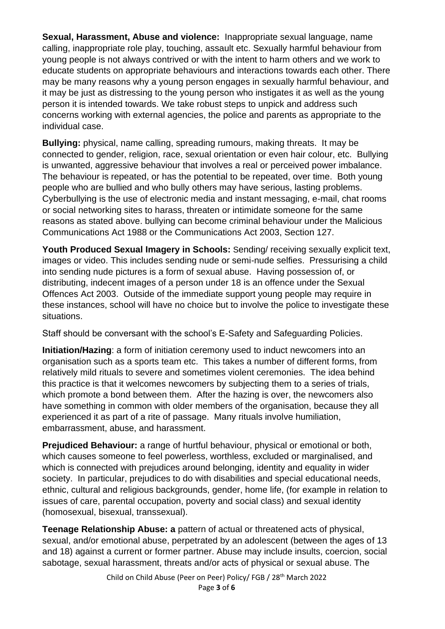**Sexual, Harassment, Abuse and violence:** Inappropriate sexual language, name calling, inappropriate role play, touching, assault etc. Sexually harmful behaviour from young people is not always contrived or with the intent to harm others and we work to educate students on appropriate behaviours and interactions towards each other. There may be many reasons why a young person engages in sexually harmful behaviour, and it may be just as distressing to the young person who instigates it as well as the young person it is intended towards. We take robust steps to unpick and address such concerns working with external agencies, the police and parents as appropriate to the individual case.

**Bullying:** physical, name calling, spreading rumours, making threats. It may be connected to gender, religion, race, sexual orientation or even hair colour, etc. Bullying is unwanted, aggressive behaviour that involves a real or perceived power imbalance. The behaviour is repeated, or has the potential to be repeated, over time. Both young people who are bullied and who bully others may have serious, lasting problems. Cyberbullying is the use of electronic media and instant messaging, e-mail, chat rooms or social networking sites to harass, threaten or intimidate someone for the same reasons as stated above. bullying can become criminal behaviour under the Malicious Communications Act 1988 or the Communications Act 2003, Section 127.

**Youth Produced Sexual Imagery in Schools:** Sending/ receiving sexually explicit text, images or video. This includes sending nude or semi-nude selfies. Pressurising a child into sending nude pictures is a form of sexual abuse. Having possession of, or distributing, indecent images of a person under 18 is an offence under the Sexual Offences Act 2003. Outside of the immediate support young people may require in these instances, school will have no choice but to involve the police to investigate these situations.

Staff should be conversant with the school's E-Safety and Safeguarding Policies.

**Initiation/Hazing**: a form of initiation ceremony used to induct newcomers into an organisation such as a sports team etc. This takes a number of different forms, from relatively mild rituals to severe and sometimes violent ceremonies. The idea behind this practice is that it welcomes newcomers by subjecting them to a series of trials, which promote a bond between them. After the hazing is over, the newcomers also have something in common with older members of the organisation, because they all experienced it as part of a rite of passage. Many rituals involve humiliation, embarrassment, abuse, and harassment.

**Prejudiced Behaviour:** a range of hurtful behaviour, physical or emotional or both, which causes someone to feel powerless, worthless, excluded or marginalised, and which is connected with prejudices around belonging, identity and equality in wider society. In particular, prejudices to do with disabilities and special educational needs, ethnic, cultural and religious backgrounds, gender, home life, (for example in relation to issues of care, parental occupation, poverty and social class) and sexual identity (homosexual, bisexual, transsexual).

**Teenage Relationship Abuse: a** pattern of actual or threatened acts of physical, sexual, and/or emotional abuse, perpetrated by an adolescent (between the ages of 13 and 18) against a current or former partner. Abuse may include insults, coercion, social sabotage, sexual harassment, threats and/or acts of physical or sexual abuse. The

> Child on Child Abuse (Peer on Peer) Policy/ FGB / 28th March 2022 Page **3** of **6**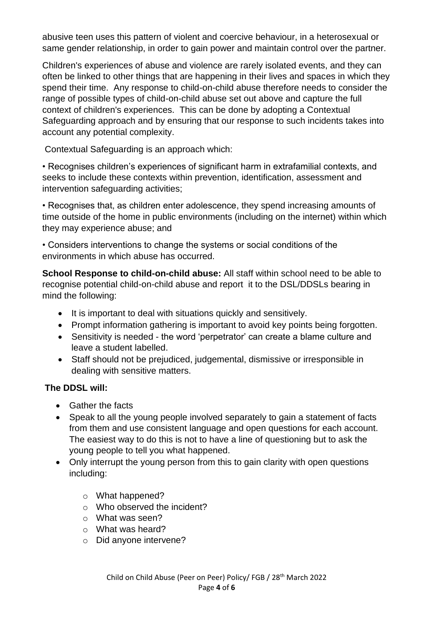abusive teen uses this pattern of violent and coercive behaviour, in a heterosexual or same gender relationship, in order to gain power and maintain control over the partner.

Children's experiences of abuse and violence are rarely isolated events, and they can often be linked to other things that are happening in their lives and spaces in which they spend their time. Any response to child-on-child abuse therefore needs to consider the range of possible types of child-on-child abuse set out above and capture the full context of children's experiences. This can be done by adopting a Contextual Safeguarding approach and by ensuring that our response to such incidents takes into account any potential complexity.

Contextual Safeguarding is an approach which:

• Recognises children's experiences of significant harm in extrafamilial contexts, and seeks to include these contexts within prevention, identification, assessment and intervention safeguarding activities;

• Recognises that, as children enter adolescence, they spend increasing amounts of time outside of the home in public environments (including on the internet) within which they may experience abuse; and

• Considers interventions to change the systems or social conditions of the environments in which abuse has occurred.

**School Response to child-on-child abuse:** All staff within school need to be able to recognise potential child-on-child abuse and report it to the DSL/DDSLs bearing in mind the following:

- It is important to deal with situations quickly and sensitively.
- Prompt information gathering is important to avoid key points being forgotten.
- Sensitivity is needed the word 'perpetrator' can create a blame culture and leave a student labelled.
- Staff should not be prejudiced, judgemental, dismissive or irresponsible in dealing with sensitive matters.

# **The DDSL will:**

- Gather the facts
- Speak to all the young people involved separately to gain a statement of facts from them and use consistent language and open questions for each account. The easiest way to do this is not to have a line of questioning but to ask the young people to tell you what happened.
- Only interrupt the young person from this to gain clarity with open questions including:
	- o What happened?
	- o Who observed the incident?
	- o What was seen?
	- o What was heard?
	- o Did anyone intervene?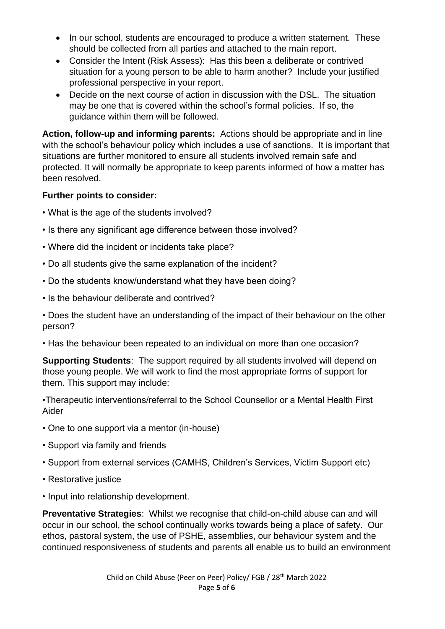- In our school, students are encouraged to produce a written statement. These should be collected from all parties and attached to the main report.
- Consider the Intent (Risk Assess): Has this been a deliberate or contrived situation for a young person to be able to harm another? Include your justified professional perspective in your report.
- Decide on the next course of action in discussion with the DSL. The situation may be one that is covered within the school's formal policies. If so, the guidance within them will be followed.

**Action, follow-up and informing parents:** Actions should be appropriate and in line with the school's behaviour policy which includes a use of sanctions. It is important that situations are further monitored to ensure all students involved remain safe and protected. It will normally be appropriate to keep parents informed of how a matter has been resolved.

## **Further points to consider:**

- What is the age of the students involved?
- Is there any significant age difference between those involved?
- Where did the incident or incidents take place?
- Do all students give the same explanation of the incident?
- Do the students know/understand what they have been doing?
- Is the behaviour deliberate and contrived?

• Does the student have an understanding of the impact of their behaviour on the other person?

• Has the behaviour been repeated to an individual on more than one occasion?

**Supporting Students**: The support required by all students involved will depend on those young people. We will work to find the most appropriate forms of support for them. This support may include:

•Therapeutic interventions/referral to the School Counsellor or a Mental Health First Aider

- One to one support via a mentor (in-house)
- Support via family and friends
- Support from external services (CAMHS, Children's Services, Victim Support etc)
- Restorative justice
- Input into relationship development.

**Preventative Strategies**: Whilst we recognise that child-on-child abuse can and will occur in our school, the school continually works towards being a place of safety. Our ethos, pastoral system, the use of PSHE, assemblies, our behaviour system and the continued responsiveness of students and parents all enable us to build an environment